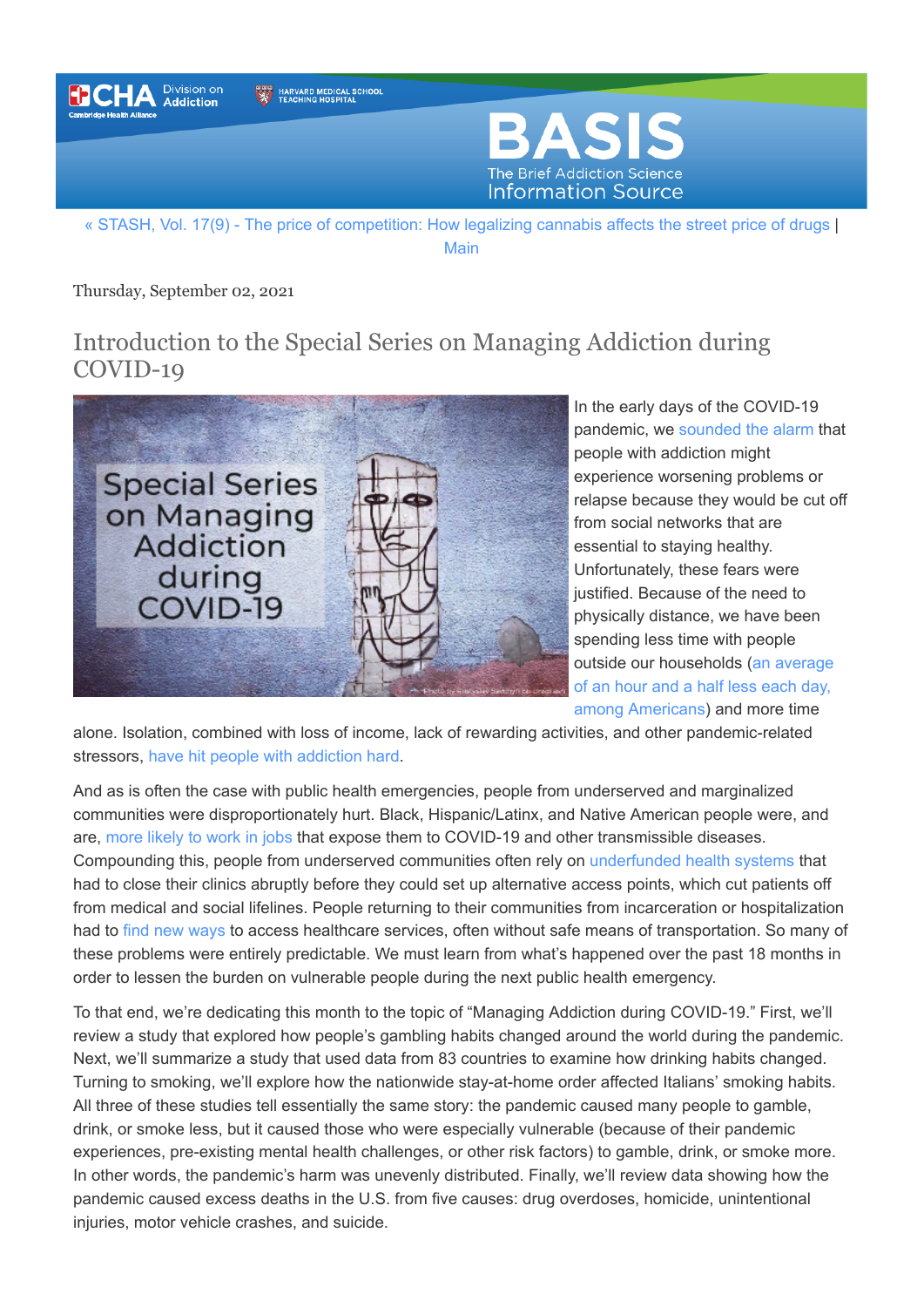

[Main](https://www.basisonline.org/)

Thursday, September 02, 2021

## Introduction to the Special Series on Managing Addiction during COVID-19



In the early days of the COVID-19 pandemic, we [sounded the alarm](https://www.basisonline.org/2020/04/caring-for-others-with-addiction-social-distancing.html) that people with addiction might experience worsening problems or relapse because they would be cut off from social networks that are essential to staying healthy. Unfortunately, these fears were justified. Because of the need to physically distance, we have been spending less time with people [outside our households \(an average](https://www.bls.gov/news.release/pdf/atus.pdf) of an hour and a half less each day, among Americans) and more time

alone. Isolation, combined with loss of income, lack of rewarding activities, and other pandemic-related stressors, [have hit people with addiction hard](https://www.ncbi.nlm.nih.gov/pmc/articles/PMC8318046/pdf/12889_2021_Article_11495.pdf).

And as is often the case with public health emergencies, people from underserved and marginalized communities were disproportionately hurt. Black, Hispanic/Latinx, and Native American people were, and are, [more likely to work in jobs](https://www.urban.org/sites/default/files/publication/103278/how-risk-of-exposure-to-the-coronavirus-at-work-varies.pdf) that expose them to COVID-19 and other transmissible diseases. Compounding this, people from underserved communities often rely on [underfunded health systems](https://www.tfah.org/report-details/pandemic-proved-underinvesting-in-public-health-lives-livelihoods-risk/) that had to close their clinics abruptly before they could set up alternative access points, which cut patients off from medical and social lifelines. People returning to their communities from incarceration or hospitalization had to [find new ways](https://www.ncbi.nlm.nih.gov/pmc/articles/PMC8318046/pdf/12889_2021_Article_11495.pdf) to access healthcare services, often without safe means of transportation. So many of these problems were entirely predictable. We must learn from what's happened over the past 18 months in order to lessen the burden on vulnerable people during the next public health emergency.

To that end, we're dedicating this month to the topic of "Managing Addiction during COVID-19." First, we'll review a study that explored how people's gambling habits changed around the world during the pandemic. Next, we'll summarize a study that used data from 83 countries to examine how drinking habits changed. Turning to smoking, we'll explore how the nationwide stay-at-home order affected Italians' smoking habits. All three of these studies tell essentially the same story: the pandemic caused many people to gamble, drink, or smoke less, but it caused those who were especially vulnerable (because of their pandemic experiences, pre-existing mental health challenges, or other risk factors) to gamble, drink, or smoke more. In other words, the pandemic's harm was unevenly distributed. Finally, we'll review data showing how the pandemic caused excess deaths in the U.S. from five causes: drug overdoses, homicide, unintentional injuries, motor vehicle crashes, and suicide.